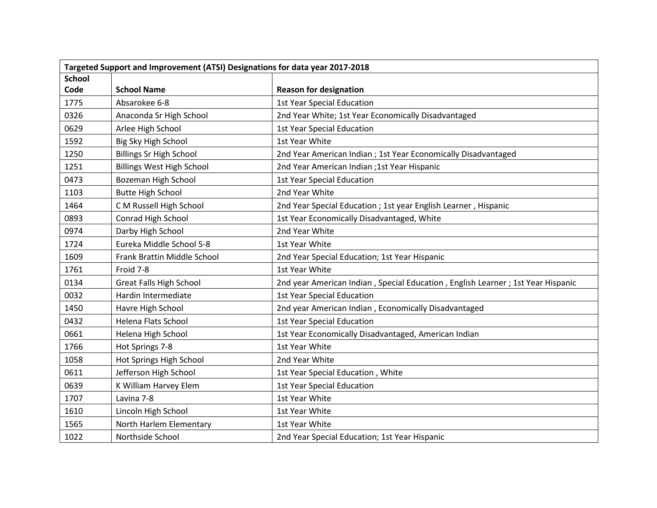| Targeted Support and Improvement (ATSI) Designations for data year 2017-2018 |                                  |                                                                                 |  |
|------------------------------------------------------------------------------|----------------------------------|---------------------------------------------------------------------------------|--|
| <b>School</b>                                                                |                                  |                                                                                 |  |
| Code                                                                         | <b>School Name</b>               | <b>Reason for designation</b>                                                   |  |
| 1775                                                                         | Absarokee 6-8                    | <b>1st Year Special Education</b>                                               |  |
| 0326                                                                         | Anaconda Sr High School          | 2nd Year White; 1st Year Economically Disadvantaged                             |  |
| 0629                                                                         | Arlee High School                | <b>1st Year Special Education</b>                                               |  |
| 1592                                                                         | Big Sky High School              | 1st Year White                                                                  |  |
| 1250                                                                         | <b>Billings Sr High School</b>   | 2nd Year American Indian ; 1st Year Economically Disadvantaged                  |  |
| 1251                                                                         | <b>Billings West High School</b> | 2nd Year American Indian ;1st Year Hispanic                                     |  |
| 0473                                                                         | Bozeman High School              | <b>1st Year Special Education</b>                                               |  |
| 1103                                                                         | <b>Butte High School</b>         | 2nd Year White                                                                  |  |
| 1464                                                                         | C M Russell High School          | 2nd Year Special Education ; 1st year English Learner, Hispanic                 |  |
| 0893                                                                         | Conrad High School               | 1st Year Economically Disadvantaged, White                                      |  |
| 0974                                                                         | Darby High School                | 2nd Year White                                                                  |  |
| 1724                                                                         | Eureka Middle School 5-8         | 1st Year White                                                                  |  |
| 1609                                                                         | Frank Brattin Middle School      | 2nd Year Special Education; 1st Year Hispanic                                   |  |
| 1761                                                                         | Froid 7-8                        | 1st Year White                                                                  |  |
| 0134                                                                         | <b>Great Falls High School</b>   | 2nd year American Indian, Special Education, English Learner; 1st Year Hispanic |  |
| 0032                                                                         | Hardin Intermediate              | <b>1st Year Special Education</b>                                               |  |
| 1450                                                                         | Havre High School                | 2nd year American Indian, Economically Disadvantaged                            |  |
| 0432                                                                         | Helena Flats School              | <b>1st Year Special Education</b>                                               |  |
| 0661                                                                         | Helena High School               | 1st Year Economically Disadvantaged, American Indian                            |  |
| 1766                                                                         | Hot Springs 7-8                  | 1st Year White                                                                  |  |
| 1058                                                                         | Hot Springs High School          | 2nd Year White                                                                  |  |
| 0611                                                                         | Jefferson High School            | 1st Year Special Education, White                                               |  |
| 0639                                                                         | K William Harvey Elem            | <b>1st Year Special Education</b>                                               |  |
| 1707                                                                         | Lavina 7-8                       | 1st Year White                                                                  |  |
| 1610                                                                         | Lincoln High School              | 1st Year White                                                                  |  |
| 1565                                                                         | North Harlem Elementary          | 1st Year White                                                                  |  |
| 1022                                                                         | Northside School                 | 2nd Year Special Education; 1st Year Hispanic                                   |  |